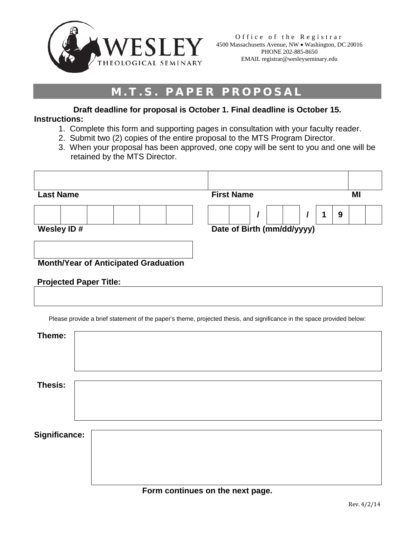

## **M.T.S. PAPER PROPOSAL**

**Draft deadline for proposal is October 1. Final deadline is October 15. Instructions:**

- 1. Complete this form and supporting pages in consultation with your faculty reader.
- 2. Submit two (2) copies of the entire proposal to the MTS Program Director.
- 3. When your proposal has been approved, one copy will be sent to you and one will be retained by the MTS Director.

| <b>Last Name</b>                            | <b>First Name</b>               | MI |
|---------------------------------------------|---------------------------------|----|
| Wesley ID#                                  | 9<br>Date of Birth (mm/dd/yyyy) |    |
| <b>Month/Year of Anticipated Graduation</b> |                                 |    |

|  | <b>Projected Paper Title:</b> |
|--|-------------------------------|
|--|-------------------------------|

Please provide a brief statement of the paper's theme, projected thesis, and significance in the space provided below:

| Significance: |  |  |
|---------------|--|--|
|               |  |  |
|               |  |  |
|               |  |  |
|               |  |  |
|               |  |  |